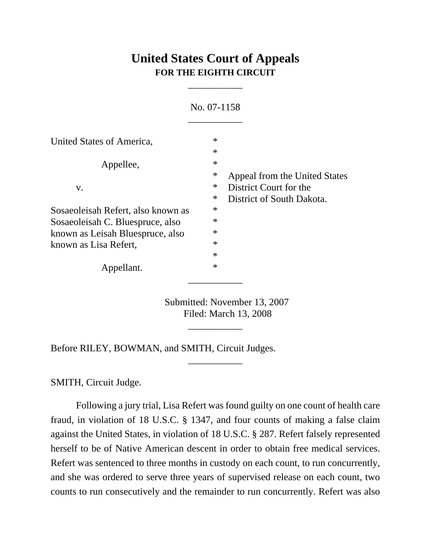# **United States Court of Appeals FOR THE EIGHTH CIRCUIT**

\_\_\_\_\_\_\_\_\_\_\_

| No. 07-1158                                               |                  |                                                         |
|-----------------------------------------------------------|------------------|---------------------------------------------------------|
| United States of America,                                 | $\ast$<br>$\ast$ |                                                         |
| Appellee,                                                 | $\ast$<br>$\ast$ |                                                         |
| V.                                                        | $\ast$           | Appeal from the United States<br>District Court for the |
| Sosaeoleisah Refert, also known as                        | $\ast$<br>$\ast$ | District of South Dakota.                               |
| Sosaeoleisah C. Bluespruce, also                          | $\ast$           |                                                         |
| known as Leisah Bluespruce, also<br>known as Lisa Refert, | $\ast$<br>$\ast$ |                                                         |
|                                                           | $\ast$           |                                                         |
| Appellant.                                                | $\ast$           |                                                         |

Submitted: November 13, 2007 Filed: March 13, 2008

\_\_\_\_\_\_\_\_\_\_\_

\_\_\_\_\_\_\_\_\_\_\_

Before RILEY, BOWMAN, and SMITH, Circuit Judges.

SMITH, Circuit Judge.

Following a jury trial, Lisa Refert was found guilty on one count of health care fraud, in violation of 18 U.S.C. § 1347, and four counts of making a false claim against the United States, in violation of 18 U.S.C. § 287. Refert falsely represented herself to be of Native American descent in order to obtain free medical services. Refert was sentenced to three months in custody on each count, to run concurrently, and she was ordered to serve three years of supervised release on each count, two counts to run consecutively and the remainder to run concurrently. Refert was also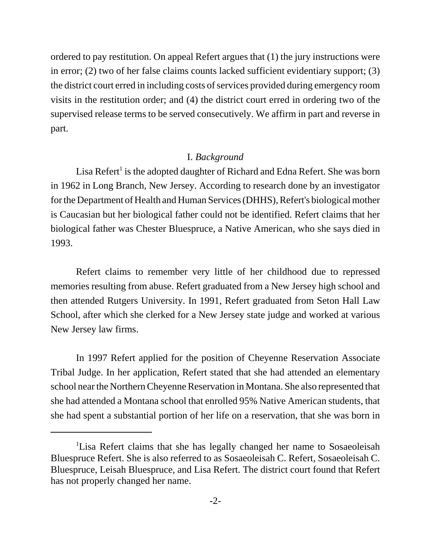ordered to pay restitution. On appeal Refert argues that (1) the jury instructions were in error; (2) two of her false claims counts lacked sufficient evidentiary support; (3) the district court erred in including costs of services provided during emergency room visits in the restitution order; and (4) the district court erred in ordering two of the supervised release terms to be served consecutively. We affirm in part and reverse in part.

#### I. *Background*

Lisa Refert<sup>1</sup> is the adopted daughter of Richard and Edna Refert. She was born in 1962 in Long Branch, New Jersey. According to research done by an investigator for the Department of Health and Human Services (DHHS), Refert's biological mother is Caucasian but her biological father could not be identified. Refert claims that her biological father was Chester Bluespruce, a Native American, who she says died in 1993.

Refert claims to remember very little of her childhood due to repressed memories resulting from abuse. Refert graduated from a New Jersey high school and then attended Rutgers University. In 1991, Refert graduated from Seton Hall Law School, after which she clerked for a New Jersey state judge and worked at various New Jersey law firms.

In 1997 Refert applied for the position of Cheyenne Reservation Associate Tribal Judge. In her application, Refert stated that she had attended an elementary school near the Northern Cheyenne Reservation in Montana. She also represented that she had attended a Montana school that enrolled 95% Native American students, that she had spent a substantial portion of her life on a reservation, that she was born in

<sup>&</sup>lt;sup>1</sup>Lisa Refert claims that she has legally changed her name to Sosaeoleisah Bluespruce Refert. She is also referred to as Sosaeoleisah C. Refert, Sosaeoleisah C. Bluespruce, Leisah Bluespruce, and Lisa Refert. The district court found that Refert has not properly changed her name.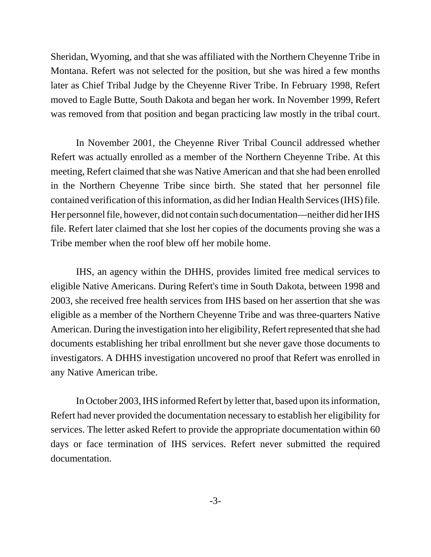Sheridan, Wyoming, and that she was affiliated with the Northern Cheyenne Tribe in Montana. Refert was not selected for the position, but she was hired a few months later as Chief Tribal Judge by the Cheyenne River Tribe. In February 1998, Refert moved to Eagle Butte, South Dakota and began her work. In November 1999, Refert was removed from that position and began practicing law mostly in the tribal court.

In November 2001, the Cheyenne River Tribal Council addressed whether Refert was actually enrolled as a member of the Northern Cheyenne Tribe. At this meeting, Refert claimed that she was Native American and that she had been enrolled in the Northern Cheyenne Tribe since birth. She stated that her personnel file contained verification of this information, as did her Indian Health Services (IHS) file. Her personnel file, however, did not contain such documentation—neither did her IHS file. Refert later claimed that she lost her copies of the documents proving she was a Tribe member when the roof blew off her mobile home.

IHS, an agency within the DHHS, provides limited free medical services to eligible Native Americans. During Refert's time in South Dakota, between 1998 and 2003, she received free health services from IHS based on her assertion that she was eligible as a member of the Northern Cheyenne Tribe and was three-quarters Native American. During the investigation into her eligibility, Refert represented that she had documents establishing her tribal enrollment but she never gave those documents to investigators. A DHHS investigation uncovered no proof that Refert was enrolled in any Native American tribe.

In October 2003, IHS informed Refert by letter that, based upon its information, Refert had never provided the documentation necessary to establish her eligibility for services. The letter asked Refert to provide the appropriate documentation within 60 days or face termination of IHS services. Refert never submitted the required documentation.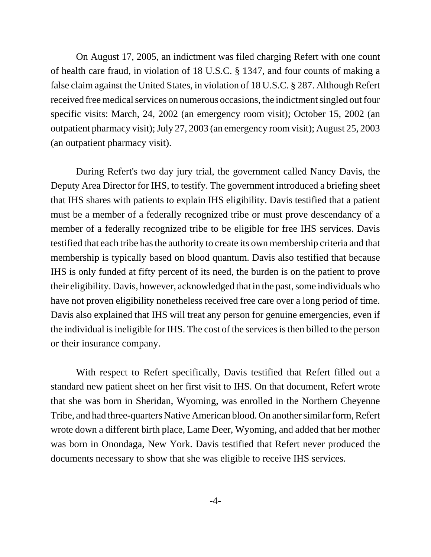On August 17, 2005, an indictment was filed charging Refert with one count of health care fraud, in violation of 18 U.S.C. § 1347, and four counts of making a false claim against the United States, in violation of 18 U.S.C. § 287. Although Refert received free medical services on numerous occasions, the indictment singled out four specific visits: March, 24, 2002 (an emergency room visit); October 15, 2002 (an outpatient pharmacy visit); July 27, 2003 (an emergency room visit); August 25, 2003 (an outpatient pharmacy visit).

During Refert's two day jury trial, the government called Nancy Davis, the Deputy Area Director for IHS, to testify. The government introduced a briefing sheet that IHS shares with patients to explain IHS eligibility. Davis testified that a patient must be a member of a federally recognized tribe or must prove descendancy of a member of a federally recognized tribe to be eligible for free IHS services. Davis testified that each tribe has the authority to create its own membership criteria and that membership is typically based on blood quantum. Davis also testified that because IHS is only funded at fifty percent of its need, the burden is on the patient to prove their eligibility. Davis, however, acknowledged that in the past, some individuals who have not proven eligibility nonetheless received free care over a long period of time. Davis also explained that IHS will treat any person for genuine emergencies, even if the individual is ineligible for IHS. The cost of the services is then billed to the person or their insurance company.

With respect to Refert specifically, Davis testified that Refert filled out a standard new patient sheet on her first visit to IHS. On that document, Refert wrote that she was born in Sheridan, Wyoming, was enrolled in the Northern Cheyenne Tribe, and had three-quarters Native American blood. On another similar form, Refert wrote down a different birth place, Lame Deer, Wyoming, and added that her mother was born in Onondaga, New York. Davis testified that Refert never produced the documents necessary to show that she was eligible to receive IHS services.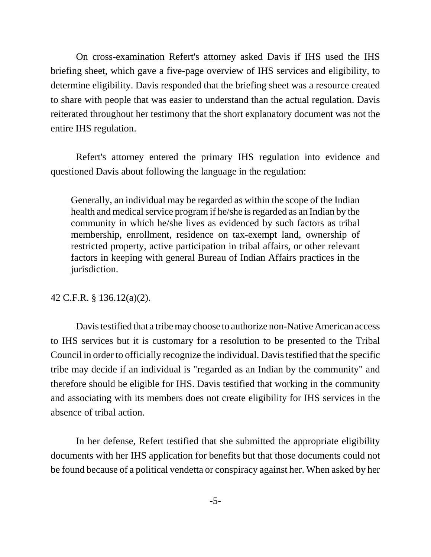On cross-examination Refert's attorney asked Davis if IHS used the IHS briefing sheet, which gave a five-page overview of IHS services and eligibility, to determine eligibility. Davis responded that the briefing sheet was a resource created to share with people that was easier to understand than the actual regulation. Davis reiterated throughout her testimony that the short explanatory document was not the entire IHS regulation.

Refert's attorney entered the primary IHS regulation into evidence and questioned Davis about following the language in the regulation:

Generally, an individual may be regarded as within the scope of the Indian health and medical service program if he/she is regarded as an Indian by the community in which he/she lives as evidenced by such factors as tribal membership, enrollment, residence on tax-exempt land, ownership of restricted property, active participation in tribal affairs, or other relevant factors in keeping with general Bureau of Indian Affairs practices in the jurisdiction.

# 42 C.F.R. § 136.12(a)(2).

Davis testified that a tribe may choose to authorize non-Native American access to IHS services but it is customary for a resolution to be presented to the Tribal Council in order to officially recognize the individual. Davis testified that the specific tribe may decide if an individual is "regarded as an Indian by the community" and therefore should be eligible for IHS. Davis testified that working in the community and associating with its members does not create eligibility for IHS services in the absence of tribal action.

In her defense, Refert testified that she submitted the appropriate eligibility documents with her IHS application for benefits but that those documents could not be found because of a political vendetta or conspiracy against her. When asked by her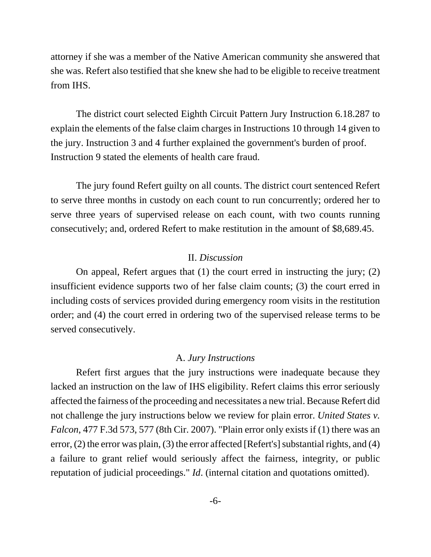attorney if she was a member of the Native American community she answered that she was. Refert also testified that she knew she had to be eligible to receive treatment from IHS.

The district court selected Eighth Circuit Pattern Jury Instruction 6.18.287 to explain the elements of the false claim charges in Instructions 10 through 14 given to the jury. Instruction 3 and 4 further explained the government's burden of proof. Instruction 9 stated the elements of health care fraud.

The jury found Refert guilty on all counts. The district court sentenced Refert to serve three months in custody on each count to run concurrently; ordered her to serve three years of supervised release on each count, with two counts running consecutively; and, ordered Refert to make restitution in the amount of \$8,689.45.

#### II. *Discussion*

On appeal, Refert argues that (1) the court erred in instructing the jury; (2) insufficient evidence supports two of her false claim counts; (3) the court erred in including costs of services provided during emergency room visits in the restitution order; and (4) the court erred in ordering two of the supervised release terms to be served consecutively.

#### A. *Jury Instructions*

Refert first argues that the jury instructions were inadequate because they lacked an instruction on the law of IHS eligibility. Refert claims this error seriously affected the fairness of the proceeding and necessitates a new trial. Because Refert did not challenge the jury instructions below we review for plain error. *United States v. Falcon*, 477 F.3d 573, 577 (8th Cir. 2007). "Plain error only exists if (1) there was an error, (2) the error was plain, (3) the error affected [Refert's] substantial rights, and (4) a failure to grant relief would seriously affect the fairness, integrity, or public reputation of judicial proceedings." *Id*. (internal citation and quotations omitted).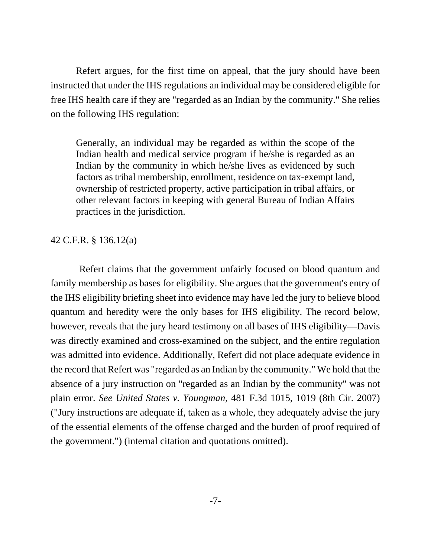Refert argues, for the first time on appeal, that the jury should have been instructed that under the IHS regulations an individual may be considered eligible for free IHS health care if they are "regarded as an Indian by the community." She relies on the following IHS regulation:

Generally, an individual may be regarded as within the scope of the Indian health and medical service program if he/she is regarded as an Indian by the community in which he/she lives as evidenced by such factors as tribal membership, enrollment, residence on tax-exempt land, ownership of restricted property, active participation in tribal affairs, or other relevant factors in keeping with general Bureau of Indian Affairs practices in the jurisdiction.

## 42 C.F.R. § 136.12(a)

 Refert claims that the government unfairly focused on blood quantum and family membership as bases for eligibility. She argues that the government's entry of the IHS eligibility briefing sheet into evidence may have led the jury to believe blood quantum and heredity were the only bases for IHS eligibility. The record below, however, reveals that the jury heard testimony on all bases of IHS eligibility—Davis was directly examined and cross-examined on the subject, and the entire regulation was admitted into evidence. Additionally, Refert did not place adequate evidence in the record that Refert was "regarded as an Indian by the community." We hold that the absence of a jury instruction on "regarded as an Indian by the community" was not plain error. *See United States v. Youngman*, 481 F.3d 1015, 1019 (8th Cir. 2007) ("Jury instructions are adequate if, taken as a whole, they adequately advise the jury of the essential elements of the offense charged and the burden of proof required of the government.") (internal citation and quotations omitted).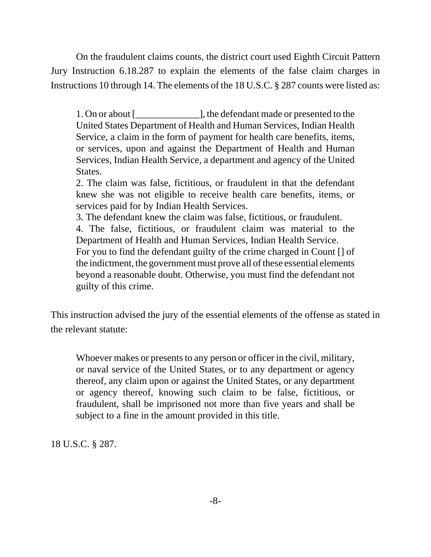On the fraudulent claims counts, the district court used Eighth Circuit Pattern Jury Instruction 6.18.287 to explain the elements of the false claim charges in Instructions 10 through 14. The elements of the 18 U.S.C. § 287 counts were listed as:

1. On or about [\_\_\_\_\_\_\_\_\_\_\_\_\_], the defendant made or presented to the United States Department of Health and Human Services, Indian Health Service, a claim in the form of payment for health care benefits, items, or services, upon and against the Department of Health and Human Services, Indian Health Service, a department and agency of the United States.

2. The claim was false, fictitious, or fraudulent in that the defendant knew she was not eligible to receive health care benefits, items, or services paid for by Indian Health Services.

3. The defendant knew the claim was false, fictitious, or fraudulent.

4. The false, fictitious, or fraudulent claim was material to the Department of Health and Human Services, Indian Health Service.

For you to find the defendant guilty of the crime charged in Count [] of the indictment, the government must prove all of these essential elements beyond a reasonable doubt. Otherwise, you must find the defendant not guilty of this crime.

This instruction advised the jury of the essential elements of the offense as stated in the relevant statute:

Whoever makes or presents to any person or officer in the civil, military, or naval service of the United States, or to any department or agency thereof, any claim upon or against the United States, or any department or agency thereof, knowing such claim to be false, fictitious, or fraudulent, shall be imprisoned not more than five years and shall be subject to a fine in the amount provided in this title.

18 U.S.C. § 287.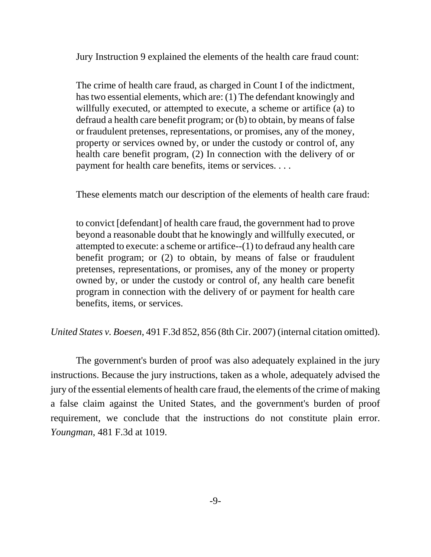Jury Instruction 9 explained the elements of the health care fraud count:

The crime of health care fraud, as charged in Count I of the indictment, has two essential elements, which are: (1) The defendant knowingly and willfully executed, or attempted to execute, a scheme or artifice (a) to defraud a health care benefit program; or (b) to obtain, by means of false or fraudulent pretenses, representations, or promises, any of the money, property or services owned by, or under the custody or control of, any health care benefit program, (2) In connection with the delivery of or payment for health care benefits, items or services. . . .

These elements match our description of the elements of health care fraud:

to convict [defendant] of health care fraud, the government had to prove beyond a reasonable doubt that he knowingly and willfully executed, or attempted to execute: a scheme or artifice--(1) to defraud any health care benefit program; or (2) to obtain, by means of false or fraudulent pretenses, representations, or promises, any of the money or property owned by, or under the custody or control of, any health care benefit program in connection with the delivery of or payment for health care benefits, items, or services.

*United States v. Boesen*, 491 F.3d 852, 856 (8th Cir. 2007) (internal citation omitted).

The government's burden of proof was also adequately explained in the jury instructions. Because the jury instructions, taken as a whole, adequately advised the jury of the essential elements of health care fraud, the elements of the crime of making a false claim against the United States, and the government's burden of proof requirement, we conclude that the instructions do not constitute plain error. *Youngman*, 481 F.3d at 1019.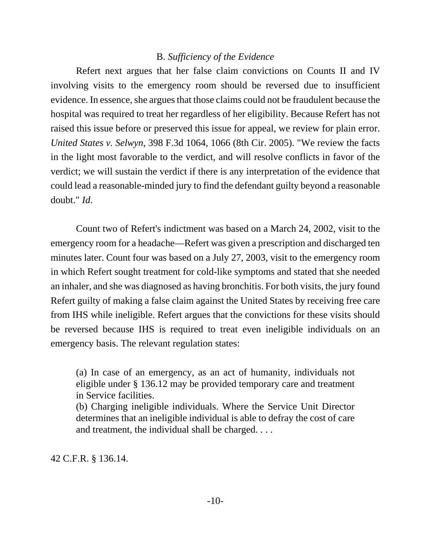## B. *Sufficiency of the Evidence*

Refert next argues that her false claim convictions on Counts II and IV involving visits to the emergency room should be reversed due to insufficient evidence. In essence, she argues that those claims could not be fraudulent because the hospital was required to treat her regardless of her eligibility. Because Refert has not raised this issue before or preserved this issue for appeal, we review for plain error. *United States v. Selwyn*, 398 F.3d 1064, 1066 (8th Cir. 2005). "We review the facts in the light most favorable to the verdict, and will resolve conflicts in favor of the verdict; we will sustain the verdict if there is any interpretation of the evidence that could lead a reasonable-minded jury to find the defendant guilty beyond a reasonable doubt." *Id*.

Count two of Refert's indictment was based on a March 24, 2002, visit to the emergency room for a headache—Refert was given a prescription and discharged ten minutes later. Count four was based on a July 27, 2003, visit to the emergency room in which Refert sought treatment for cold-like symptoms and stated that she needed an inhaler, and she was diagnosed as having bronchitis. For both visits, the jury found Refert guilty of making a false claim against the United States by receiving free care from IHS while ineligible. Refert argues that the convictions for these visits should be reversed because IHS is required to treat even ineligible individuals on an emergency basis. The relevant regulation states:

(a) In case of an emergency, as an act of humanity, individuals not eligible under § 136.12 may be provided temporary care and treatment in Service facilities.

(b) Charging ineligible individuals. Where the Service Unit Director determines that an ineligible individual is able to defray the cost of care and treatment, the individual shall be charged. . . .

42 C.F.R. § 136.14.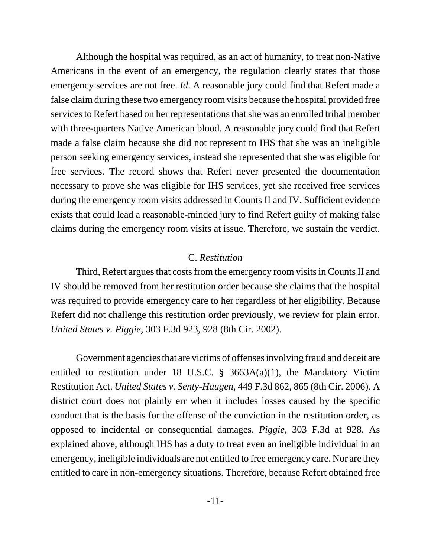Although the hospital was required, as an act of humanity, to treat non-Native Americans in the event of an emergency, the regulation clearly states that those emergency services are not free. *Id*. A reasonable jury could find that Refert made a false claim during these two emergency room visits because the hospital provided free services to Refert based on her representations that she was an enrolled tribal member with three-quarters Native American blood. A reasonable jury could find that Refert made a false claim because she did not represent to IHS that she was an ineligible person seeking emergency services, instead she represented that she was eligible for free services. The record shows that Refert never presented the documentation necessary to prove she was eligible for IHS services, yet she received free services during the emergency room visits addressed in Counts II and IV. Sufficient evidence exists that could lead a reasonable-minded jury to find Refert guilty of making false claims during the emergency room visits at issue. Therefore, we sustain the verdict.

#### C. *Restitution*

Third, Refert argues that costs from the emergency room visits in Counts II and IV should be removed from her restitution order because she claims that the hospital was required to provide emergency care to her regardless of her eligibility. Because Refert did not challenge this restitution order previously, we review for plain error. *United States v. Piggie*, 303 F.3d 923, 928 (8th Cir. 2002).

Government agencies that are victims of offenses involving fraud and deceit are entitled to restitution under 18 U.S.C.  $\S$  3663A(a)(1), the Mandatory Victim Restitution Act. *United States v. Senty-Haugen*, 449 F.3d 862, 865 (8th Cir. 2006). A district court does not plainly err when it includes losses caused by the specific conduct that is the basis for the offense of the conviction in the restitution order, as opposed to incidental or consequential damages. *Piggie*, 303 F.3d at 928. As explained above, although IHS has a duty to treat even an ineligible individual in an emergency, ineligible individuals are not entitled to free emergency care. Nor are they entitled to care in non-emergency situations. Therefore, because Refert obtained free